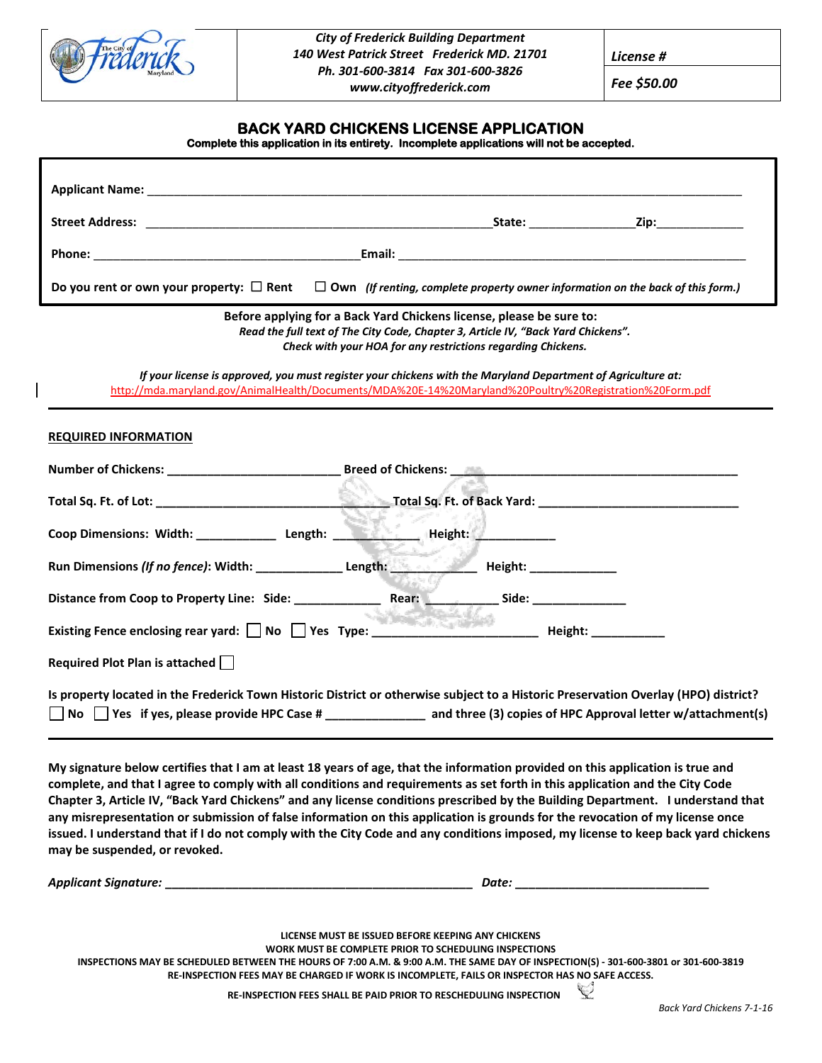*City of Frederick Building Department 140 West Patrick Street Frederick MD. 21701 Ph. 301-600-3814 Fax 301-600-3826 www.cityoffrederick.com*

*License #*

*Fee \$50.00*

## **BACK YARD CHICKENS LICENSE APPLICATION Complete this application in its entirety. Incomplete applications will not be accepted.**

|                                                                                                                                                                                                                                                                                                                                           | Do you rent or own your property: $\Box$ Rent $\Box$ Own (If renting, complete property owner information on the back of this form.) |  |  |  |  |
|-------------------------------------------------------------------------------------------------------------------------------------------------------------------------------------------------------------------------------------------------------------------------------------------------------------------------------------------|--------------------------------------------------------------------------------------------------------------------------------------|--|--|--|--|
| Before applying for a Back Yard Chickens license, please be sure to:<br>Read the full text of The City Code, Chapter 3, Article IV, "Back Yard Chickens".<br>Check with your HOA for any restrictions regarding Chickens.<br>If your license is approved, you must register your chickens with the Maryland Department of Agriculture at: |                                                                                                                                      |  |  |  |  |
|                                                                                                                                                                                                                                                                                                                                           | http://mda.maryland.gov/AnimalHealth/Documents/MDA%20E-14%20Maryland%20Poultry%20Registration%20Form.pdf                             |  |  |  |  |
| <b>REQUIRED INFORMATION</b>                                                                                                                                                                                                                                                                                                               |                                                                                                                                      |  |  |  |  |
|                                                                                                                                                                                                                                                                                                                                           |                                                                                                                                      |  |  |  |  |
|                                                                                                                                                                                                                                                                                                                                           |                                                                                                                                      |  |  |  |  |
| Coop Dimensions: Width: _______________ Length: _____________ Height: ___________                                                                                                                                                                                                                                                         |                                                                                                                                      |  |  |  |  |
|                                                                                                                                                                                                                                                                                                                                           |                                                                                                                                      |  |  |  |  |
|                                                                                                                                                                                                                                                                                                                                           |                                                                                                                                      |  |  |  |  |
|                                                                                                                                                                                                                                                                                                                                           |                                                                                                                                      |  |  |  |  |
| Required Plot Plan is attached                                                                                                                                                                                                                                                                                                            |                                                                                                                                      |  |  |  |  |
|                                                                                                                                                                                                                                                                                                                                           | Is property located in the Frederick Town Historic District or otherwise subject to a Historic Preservation Overlay (HPO) district?  |  |  |  |  |

**My signature below certifies that I am at least 18 years of age, that the information provided on this application is true and complete, and that I agree to comply with all conditions and requirements as set forth in this application and the City Code Chapter 3, Article IV, "Back Yard Chickens" and any license conditions prescribed by the Building Department. I understand that any misrepresentation or submission of false information on this application is grounds for the revocation of my license once issued. I understand that if I do not comply with the City Code and any conditions imposed, my license to keep back yard chickens may be suspended, or revoked.**

*Applicant Signature:* **\_\_\_\_\_\_\_\_\_\_\_\_\_\_\_\_\_\_\_\_\_\_\_\_\_\_\_\_\_\_\_\_\_\_\_\_\_\_\_\_\_\_\_\_\_\_** *Date:* **\_\_\_\_\_\_\_\_\_\_\_\_\_\_\_\_\_\_\_\_\_\_\_\_\_\_\_\_\_**

| LICENSE MUST BE ISSUED BEFORE KEEPING ANY CHICKENS                                                                                   |
|--------------------------------------------------------------------------------------------------------------------------------------|
| WORK MUST BE COMPLETE PRIOR TO SCHEDULING INSPECTIONS                                                                                |
| INSPECTIONS MAY BE SCHEDULED BETWEEN THE HOURS OF 7:00 A.M. & 9:00 A.M. THE SAME DAY OF INSPECTION(S) - 301-600-3801 or 301-600-3819 |
| RE-INSPECTION FEES MAY BE CHARGED IF WORK IS INCOMPLETE, FAILS OR INSPECTOR HAS NO SAFE ACCESS.                                      |
| RE-INSPECTION FEES SHALL BE PAID PRIOR TO RESCHEDULING INSPECTION                                                                    |